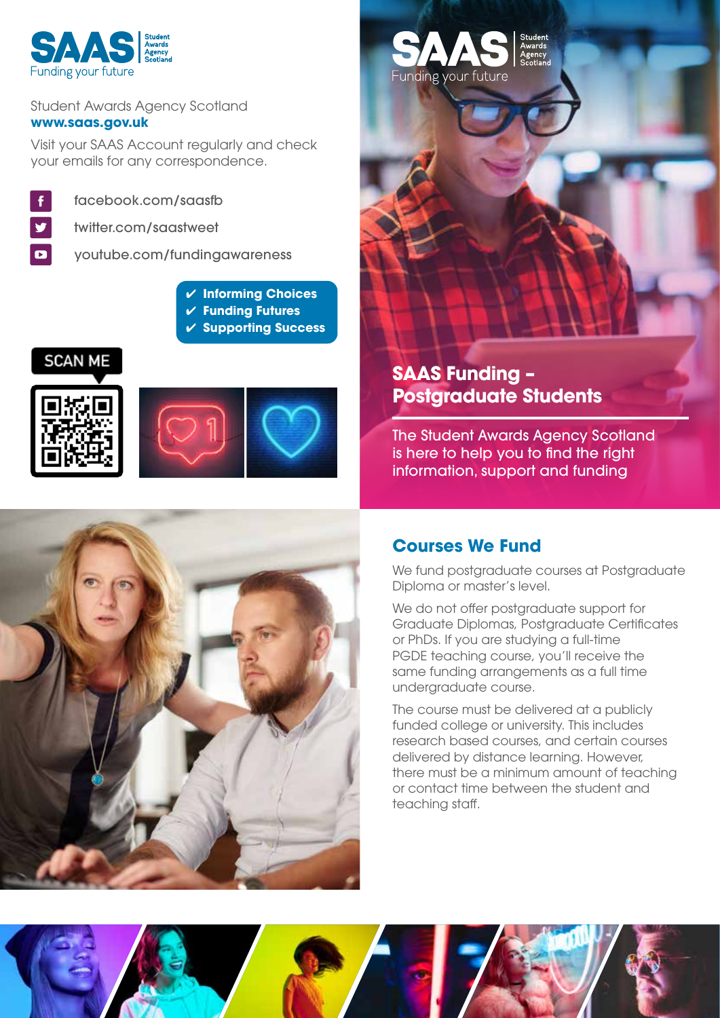

#### Student Awards Agency Scotland **www.saas.gov.uk**

Visit your SAAS Account regularly and check your emails for any correspondence.



 $\overline{\mathbf{D}}$ 

facebook.com/saasfb

twitter.com/saastweet

youtube.com/fundingawareness

- ✔ **Informing Choices**
- ✔ **Funding Futures**
- ✔ **Supporting Success**





# **SAAS Funding – Postgraduate Students**

Funding your future

The Student Awards Agency Scotland is here to help you to find the right information, support and funding



# **Courses We Fund**

We fund postgraduate courses at Postgraduate Diploma or master's level.

We do not offer postgraduate support for Graduate Diplomas, Postgraduate Certificates or PhDs. If you are studying a full-time PGDE teaching course, you'll receive the same funding arrangements as a full time undergraduate course.

The course must be delivered at a publicly funded college or university. This includes research based courses, and certain courses delivered by distance learning. However, there must be a minimum amount of teaching or contact time between the student and teaching staff.